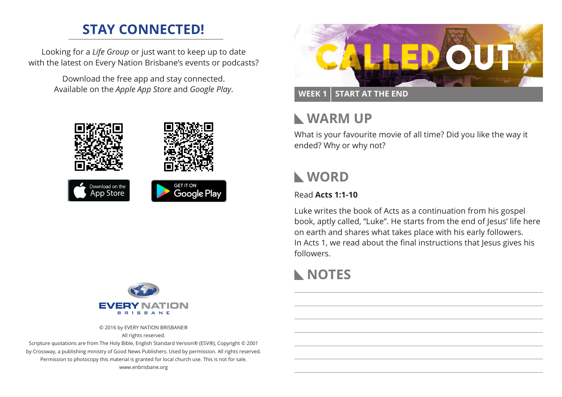## **STAY CONNECTED!**

Looking for a *Life Group* or just want to keep up to date with the latest on Every Nation Brisbane's events or podcasts?

> Download the free app and stay connected. Available on the *Apple App Store* and *Google Play*.





© 2016 by EVERY NATION BRISBANE® All rights reserved.

Scripture quotations are from The Holy Bible, English Standard Version® (ESV®), Copyright © 2001 by Crossway, a publishing ministry of Good News Publishers. Used by permission. All rights reserved. Permission to photocopy this material is granted for local church use. This is not for sale. www.enbrisbane.org



## **WARM UP**

What is your favourite movie of all time? Did you like the way it ended? Why or why not?

## **WORD**

### Read **Acts 1:1-10**

Luke writes the book of Acts as a continuation from his gospel book, aptly called, "Luke". He starts from the end of Jesus' life here on earth and shares what takes place with his early followers. In Acts 1, we read about the final instructions that Jesus gives his followers.

# **NOTES**